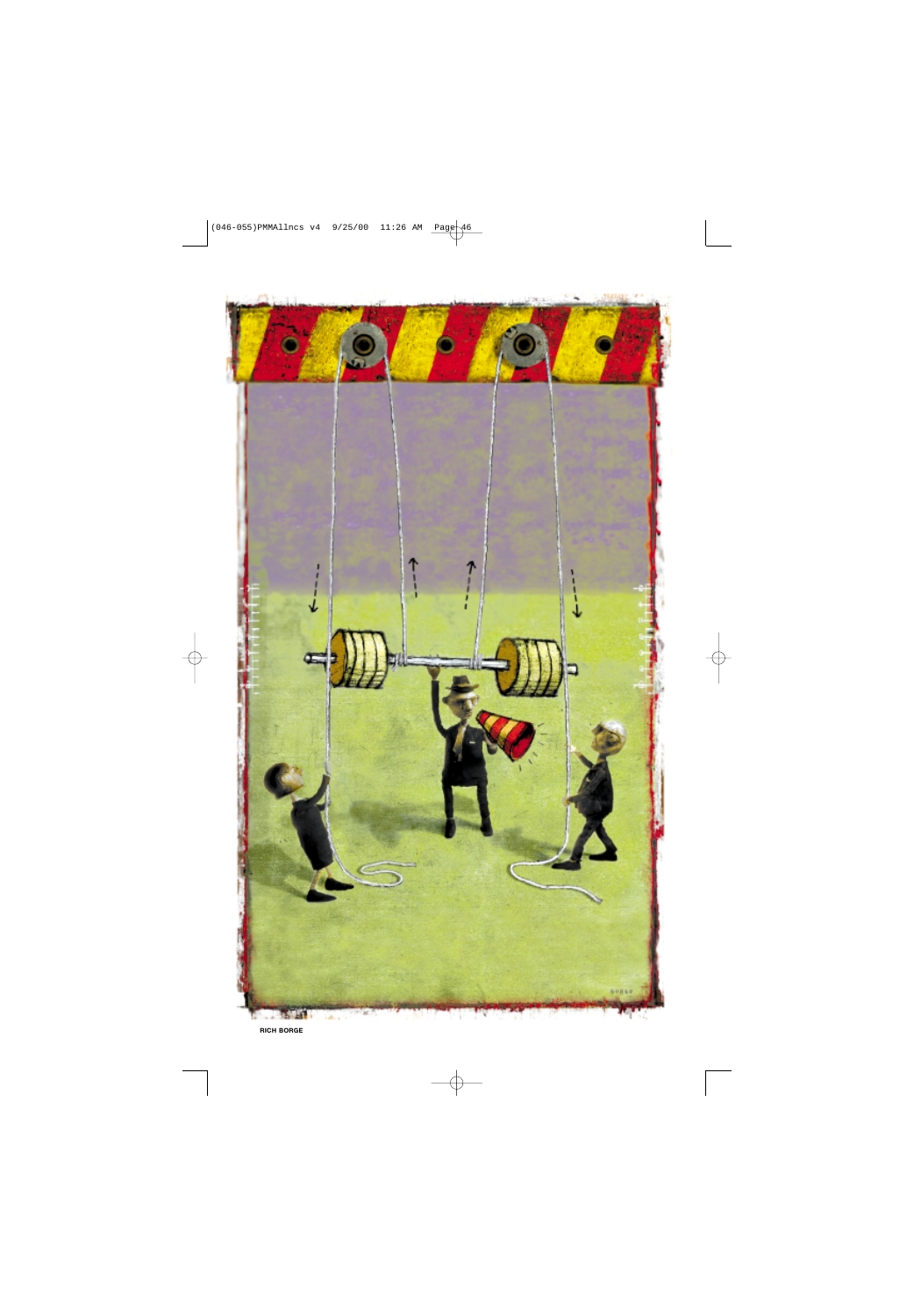

**RICH BORGE**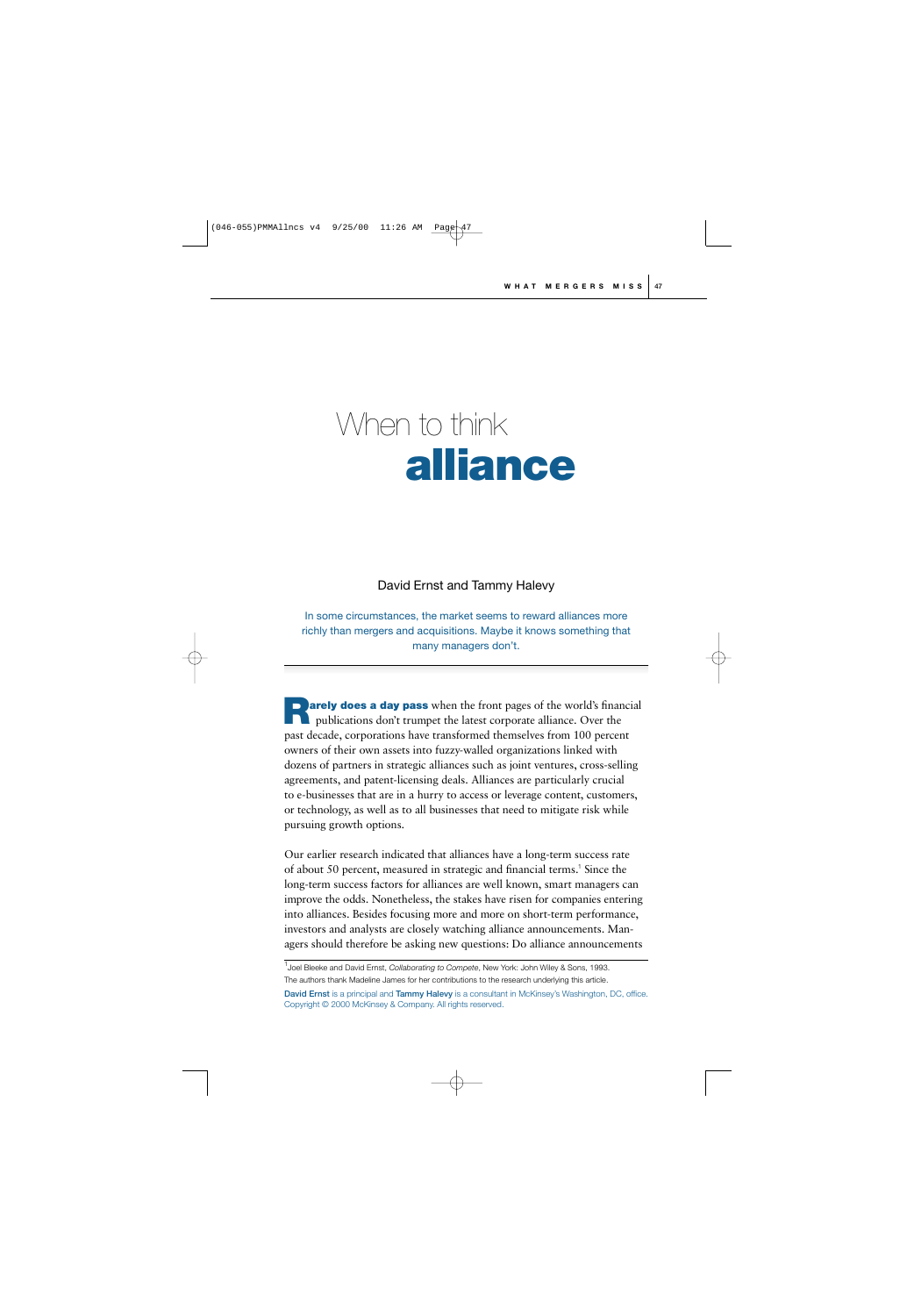# When to think **alliance**

# David Ernst and Tammy Halevy

In some circumstances, the market seems to reward alliances more richly than mergers and acquisitions. Maybe it knows something that many managers don't.

**arely does a day pass** when the front pages of the world's financial **Publications don't trumpet the latest corporate alliance. Over the publications don't trumpet the latest corporate alliance. Over the** past decade, corporations have transformed themselves from 100 percent owners of their own assets into fuzzy-walled organizations linked with dozens of partners in strategic alliances such as joint ventures, cross-selling agreements, and patent-licensing deals. Alliances are particularly crucial to e-businesses that are in a hurry to access or leverage content, customers, or technology, as well as to all businesses that need to mitigate risk while pursuing growth options.

Our earlier research indicated that alliances have a long-term success rate of about 50 percent, measured in strategic and financial terms.<sup>1</sup> Since the long-term success factors for alliances are well known, smart managers can improve the odds. Nonetheless, the stakes have risen for companies entering into alliances. Besides focusing more and more on short-term performance, investors and analysts are closely watching alliance announcements. Managers should therefore be asking new questions: Do alliance announcements

1 Joel Bleeke and David Ernst, *Collaborating to Compete*, New York: John Wiley & Sons, 1993. The authors thank Madeline James for her contributions to the research underlying this article.

**David Ernst** is a principal and **Tammy Halevy** is a consultant in McKinsey's Washington, DC, office. Copyright © 2000 McKinsey & Company. All rights reserved.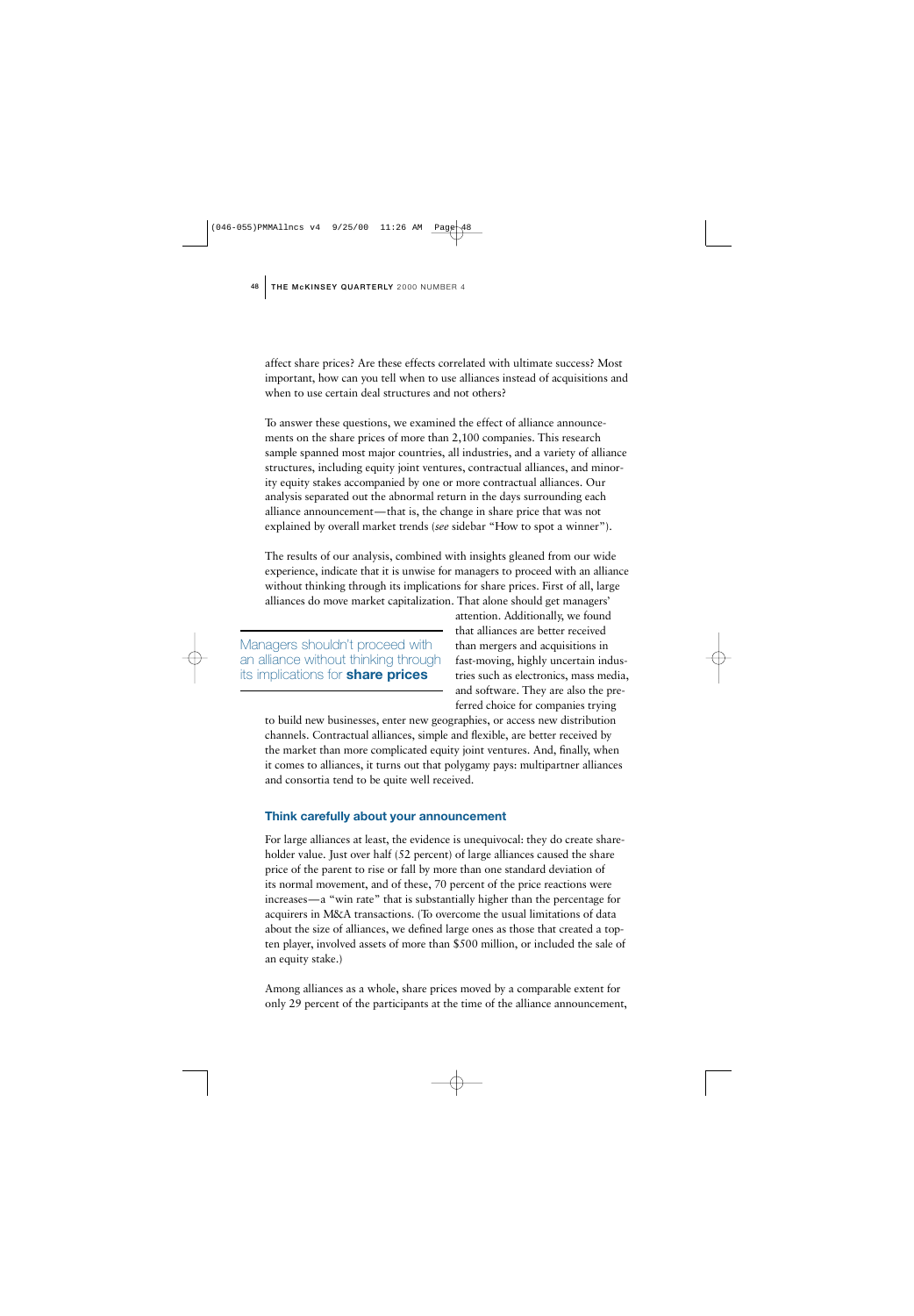affect share prices? Are these effects correlated with ultimate success? Most important, how can you tell when to use alliances instead of acquisitions and when to use certain deal structures and not others?

To answer these questions, we examined the effect of alliance announcements on the share prices of more than 2,100 companies. This research sample spanned most major countries, all industries, and a variety of alliance structures, including equity joint ventures, contractual alliances, and minority equity stakes accompanied by one or more contractual alliances. Our analysis separated out the abnormal return in the days surrounding each alliance announcement—that is, the change in share price that was not explained by overall market trends (*see* sidebar "How to spot a winner").

The results of our analysis, combined with insights gleaned from our wide experience, indicate that it is unwise for managers to proceed with an alliance without thinking through its implications for share prices. First of all, large alliances do move market capitalization. That alone should get managers'

Managers shouldn't proceed with an alliance without thinking through its implications for **share prices**

attention. Additionally, we found that alliances are better received than mergers and acquisitions in fast-moving, highly uncertain industries such as electronics, mass media, and software. They are also the preferred choice for companies trying

to build new businesses, enter new geographies, or access new distribution channels. Contractual alliances, simple and flexible, are better received by the market than more complicated equity joint ventures. And, finally, when it comes to alliances, it turns out that polygamy pays: multipartner alliances and consortia tend to be quite well received.

#### **Think carefully about your announcement**

For large alliances at least, the evidence is unequivocal: they do create shareholder value. Just over half (52 percent) of large alliances caused the share price of the parent to rise or fall by more than one standard deviation of its normal movement, and of these, 70 percent of the price reactions were increases—a "win rate" that is substantially higher than the percentage for acquirers in M&A transactions. (To overcome the usual limitations of data about the size of alliances, we defined large ones as those that created a topten player, involved assets of more than \$500 million, or included the sale of an equity stake.)

Among alliances as a whole, share prices moved by a comparable extent for only 29 percent of the participants at the time of the alliance announcement,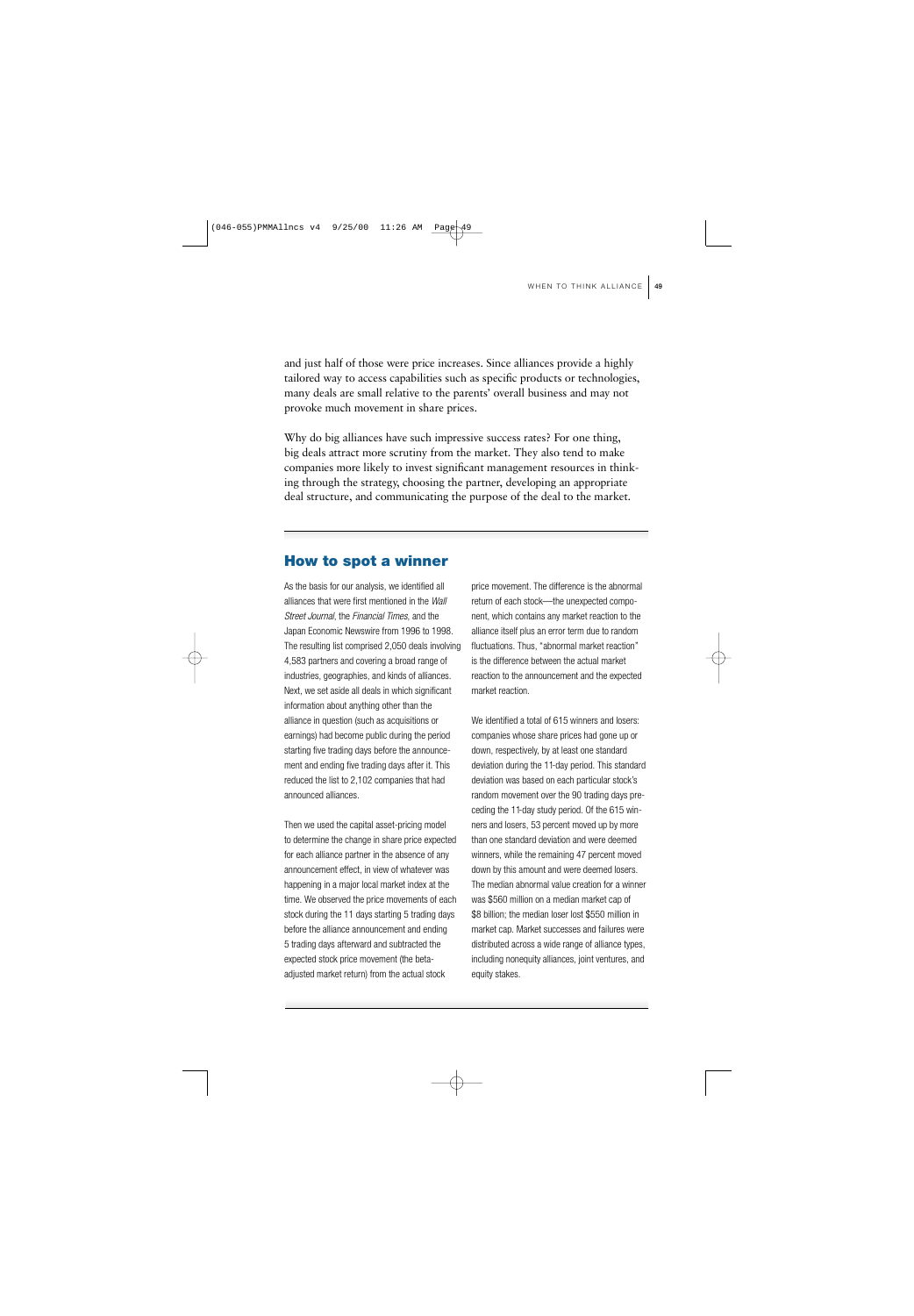and just half of those were price increases. Since alliances provide a highly tailored way to access capabilities such as specific products or technologies, many deals are small relative to the parents' overall business and may not provoke much movement in share prices.

Why do big alliances have such impressive success rates? For one thing, big deals attract more scrutiny from the market. They also tend to make companies more likely to invest significant management resources in thinking through the strategy, choosing the partner, developing an appropriate deal structure, and communicating the purpose of the deal to the market.

# **How to spot a winner**

As the basis for our analysis, we identified all alliances that were first mentioned in the *Wall Street Journal*, the *Financial Times*, and the Japan Economic Newswire from 1996 to 1998. The resulting list comprised 2,050 deals involving 4,583 partners and covering a broad range of industries, geographies, and kinds of alliances. Next, we set aside all deals in which significant information about anything other than the alliance in question (such as acquisitions or earnings) had become public during the period starting five trading days before the announcement and ending five trading days after it. This reduced the list to 2,102 companies that had announced alliances.

Then we used the capital asset-pricing model to determine the change in share price expected for each alliance partner in the absence of any announcement effect, in view of whatever was happening in a major local market index at the time. We observed the price movements of each stock during the 11 days starting 5 trading days before the alliance announcement and ending 5 trading days afterward and subtracted the expected stock price movement (the betaadjusted market return) from the actual stock

price movement. The difference is the abnormal return of each stock—the unexpected component, which contains any market reaction to the alliance itself plus an error term due to random fluctuations. Thus, "abnormal market reaction" is the difference between the actual market reaction to the announcement and the expected market reaction.

We identified a total of 615 winners and losers: companies whose share prices had gone up or down, respectively, by at least one standard deviation during the 11-day period. This standard deviation was based on each particular stock's random movement over the 90 trading days preceding the 11-day study period. Of the 615 winners and losers, 53 percent moved up by more than one standard deviation and were deemed winners, while the remaining 47 percent moved down by this amount and were deemed losers. The median abnormal value creation for a winner was \$560 million on a median market cap of \$8 billion; the median loser lost \$550 million in market cap. Market successes and failures were distributed across a wide range of alliance types, including nonequity alliances, joint ventures, and equity stakes.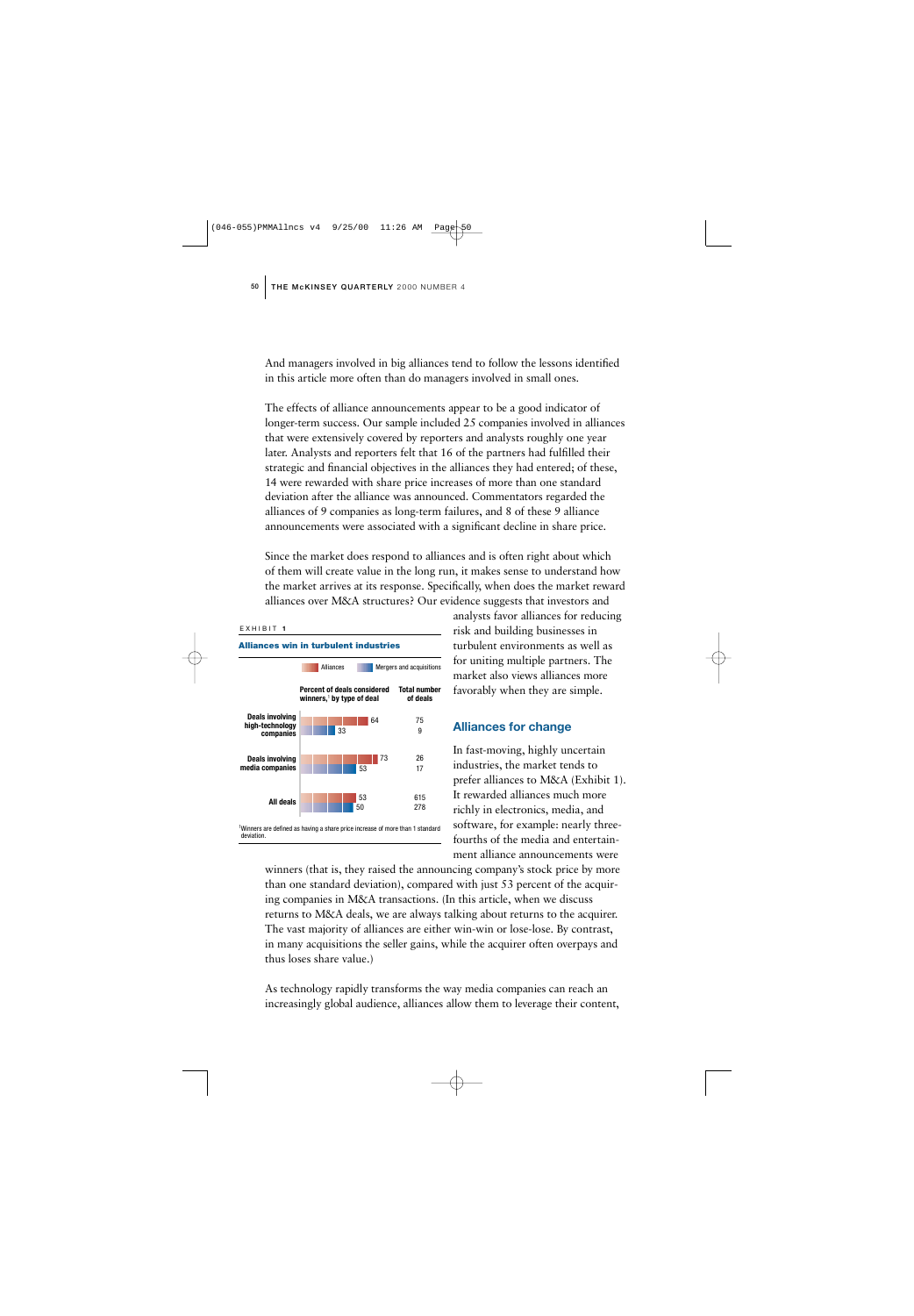And managers involved in big alliances tend to follow the lessons identified in this article more often than do managers involved in small ones.

The effects of alliance announcements appear to be a good indicator of longer-term success. Our sample included 25 companies involved in alliances that were extensively covered by reporters and analysts roughly one year later. Analysts and reporters felt that 16 of the partners had fulfilled their strategic and financial objectives in the alliances they had entered; of these, 14 were rewarded with share price increases of more than one standard deviation after the alliance was announced. Commentators regarded the alliances of 9 companies as long-term failures, and 8 of these 9 alliance announcements were associated with a significant decline in share price.

Since the market does respond to alliances and is often right about which of them will create value in the long run, it makes sense to understand how the market arrives at its response. Specifically, when does the market reward alliances over M&A structures? Our evidence suggests that investors and



analysts favor alliances for reducing risk and building businesses in turbulent environments as well as for uniting multiple partners. The market also views alliances more favorably when they are simple.

#### **Alliances for change**

In fast-moving, highly uncertain industries, the market tends to prefer alliances to M&A (Exhibit 1). It rewarded alliances much more richly in electronics, media, and software, for example: nearly threefourths of the media and entertainment alliance announcements were

winners (that is, they raised the announcing company's stock price by more than one standard deviation), compared with just 53 percent of the acquiring companies in M&A transactions. (In this article, when we discuss returns to M&A deals, we are always talking about returns to the acquirer. The vast majority of alliances are either win-win or lose-lose. By contrast, in many acquisitions the seller gains, while the acquirer often overpays and thus loses share value.)

As technology rapidly transforms the way media companies can reach an increasingly global audience, alliances allow them to leverage their content,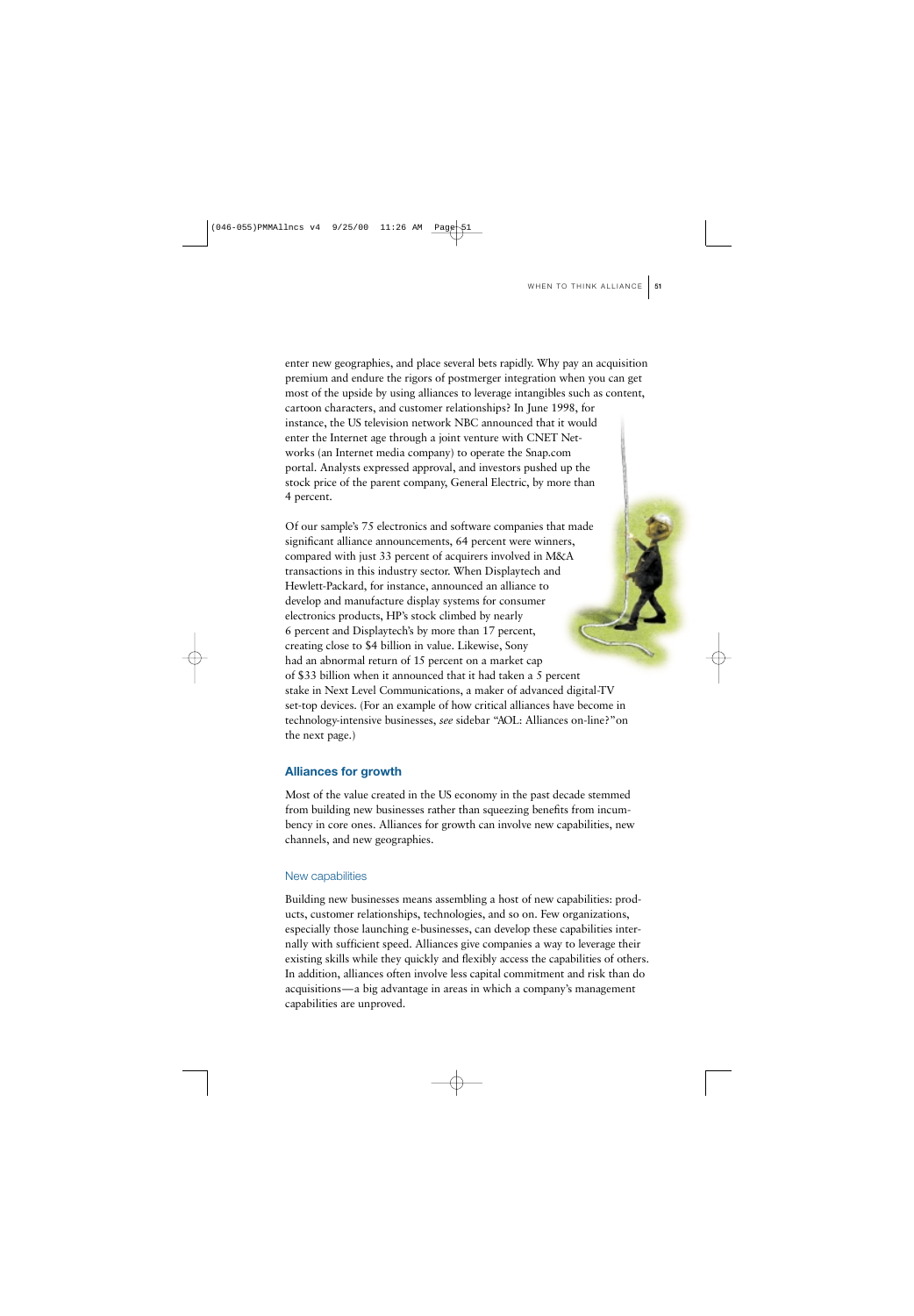enter new geographies, and place several bets rapidly. Why pay an acquisition premium and endure the rigors of postmerger integration when you can get most of the upside by using alliances to leverage intangibles such as content, cartoon characters, and customer relationships? In June 1998, for instance, the US television network NBC announced that it would enter the Internet age through a joint venture with CNET Networks (an Internet media company) to operate the Snap.com portal. Analysts expressed approval, and investors pushed up the stock price of the parent company, General Electric, by more than 4 percent.

Of our sample's 75 electronics and software companies that made significant alliance announcements, 64 percent were winners, compared with just 33 percent of acquirers involved in M&A transactions in this industry sector. When Displaytech and Hewlett-Packard, for instance, announced an alliance to develop and manufacture display systems for consumer electronics products, HP's stock climbed by nearly 6 percent and Displaytech's by more than 17 percent, creating close to \$4 billion in value. Likewise, Sony had an abnormal return of 15 percent on a market cap of \$33 billion when it announced that it had taken a 5 percent stake in Next Level Communications, a maker of advanced digital-TV set-top devices. (For an example of how critical alliances have become in technology-intensive businesses, *see* sidebar "AOL: Alliances on-line?"on the next page.)

### **Alliances for growth**

Most of the value created in the US economy in the past decade stemmed from building new businesses rather than squeezing benefits from incumbency in core ones. Alliances for growth can involve new capabilities, new channels, and new geographies.

#### New capabilities

Building new businesses means assembling a host of new capabilities: products, customer relationships, technologies, and so on. Few organizations, especially those launching e-businesses, can develop these capabilities internally with sufficient speed. Alliances give companies a way to leverage their existing skills while they quickly and flexibly access the capabilities of others. In addition, alliances often involve less capital commitment and risk than do acquisitions—a big advantage in areas in which a company's management capabilities are unproved.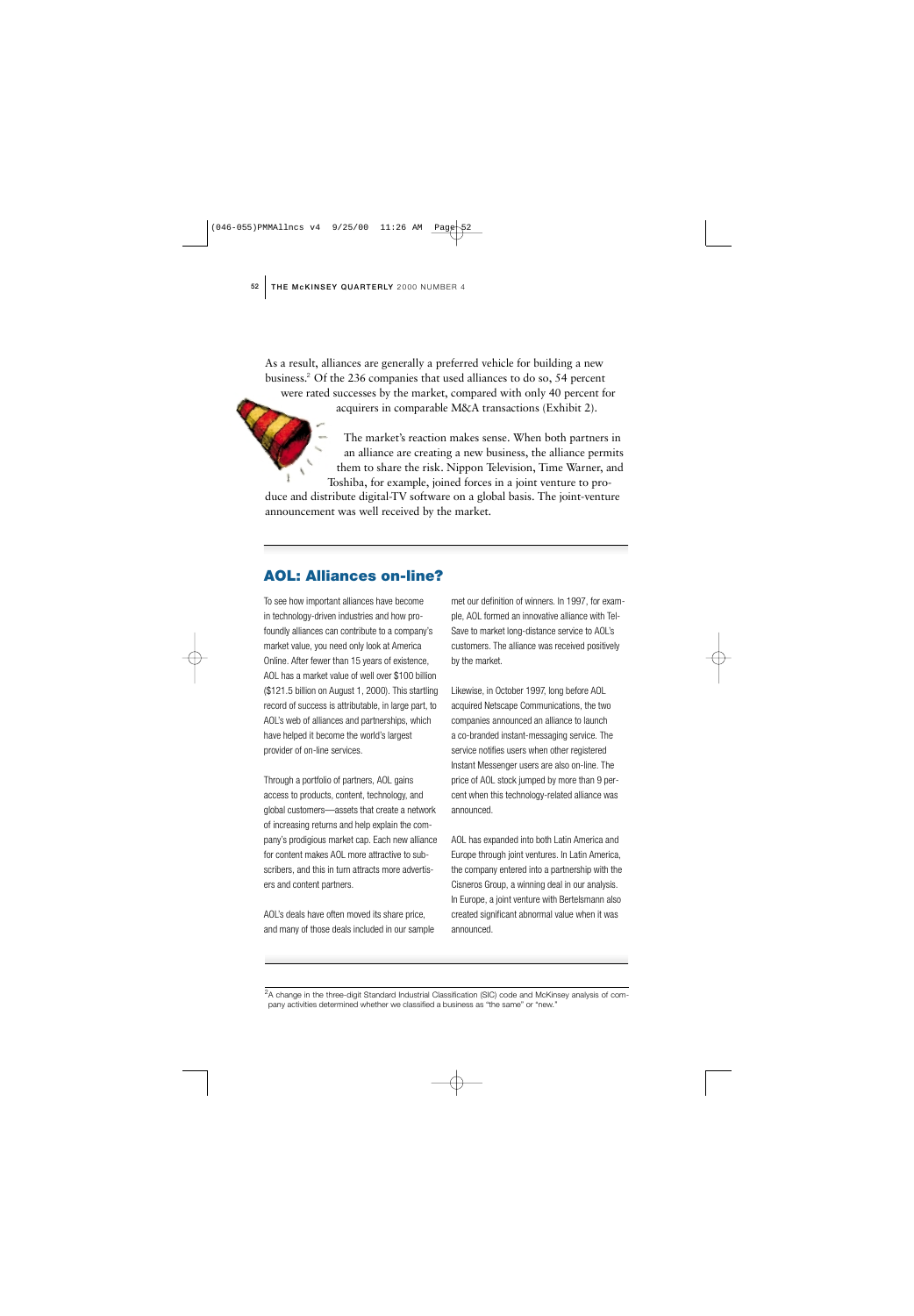As a result, alliances are generally a preferred vehicle for building a new business.<sup>2</sup> Of the 236 companies that used alliances to do so, 54 percent were rated successes by the market, compared with only 40 percent for acquirers in comparable M&A transactions (Exhibit 2).

The market's reaction makes sense. When both partners in an alliance are creating a new business, the alliance permits them to share the risk. Nippon Television, Time Warner, and Toshiba, for example, joined forces in a joint venture to pro-

duce and distribute digital-TV software on a global basis. The joint-venture announcement was well received by the market.

# **AOL: Alliances on-line?**

To see how important alliances have become in technology-driven industries and how profoundly alliances can contribute to a company's market value, you need only look at America Online. After fewer than 15 years of existence, AOL has a market value of well over \$100 billion (\$121.5 billion on August 1, 2000). This startling record of success is attributable, in large part, to AOL's web of alliances and partnerships, which have helped it become the world's largest provider of on-line services.

Through a portfolio of partners, AOL gains access to products, content, technology, and global customers—assets that create a network of increasing returns and help explain the company's prodigious market cap. Each new alliance for content makes AOL more attractive to subscribers, and this in turn attracts more advertisers and content partners.

AOL's deals have often moved its share price, and many of those deals included in our sample

met our definition of winners. In 1997, for example, AOL formed an innovative alliance with Tel-Save to market long-distance service to AOL's customers. The alliance was received positively by the market.

Likewise, in October 1997, long before AOL acquired Netscape Communications, the two companies announced an alliance to launch a co-branded instant-messaging service. The service notifies users when other registered Instant Messenger users are also on-line. The price of AOL stock jumped by more than 9 percent when this technology-related alliance was announced.

AOL has expanded into both Latin America and Europe through joint ventures. In Latin America, the company entered into a partnership with the Cisneros Group, a winning deal in our analysis. In Europe, a joint venture with Bertelsmann also created significant abnormal value when it was announced.

<sup>2</sup>A change in the three-digit Standard Industrial Classification (SIC) code and McKinsey analysis of company activities determined whether we classified a business as "the same" or "new."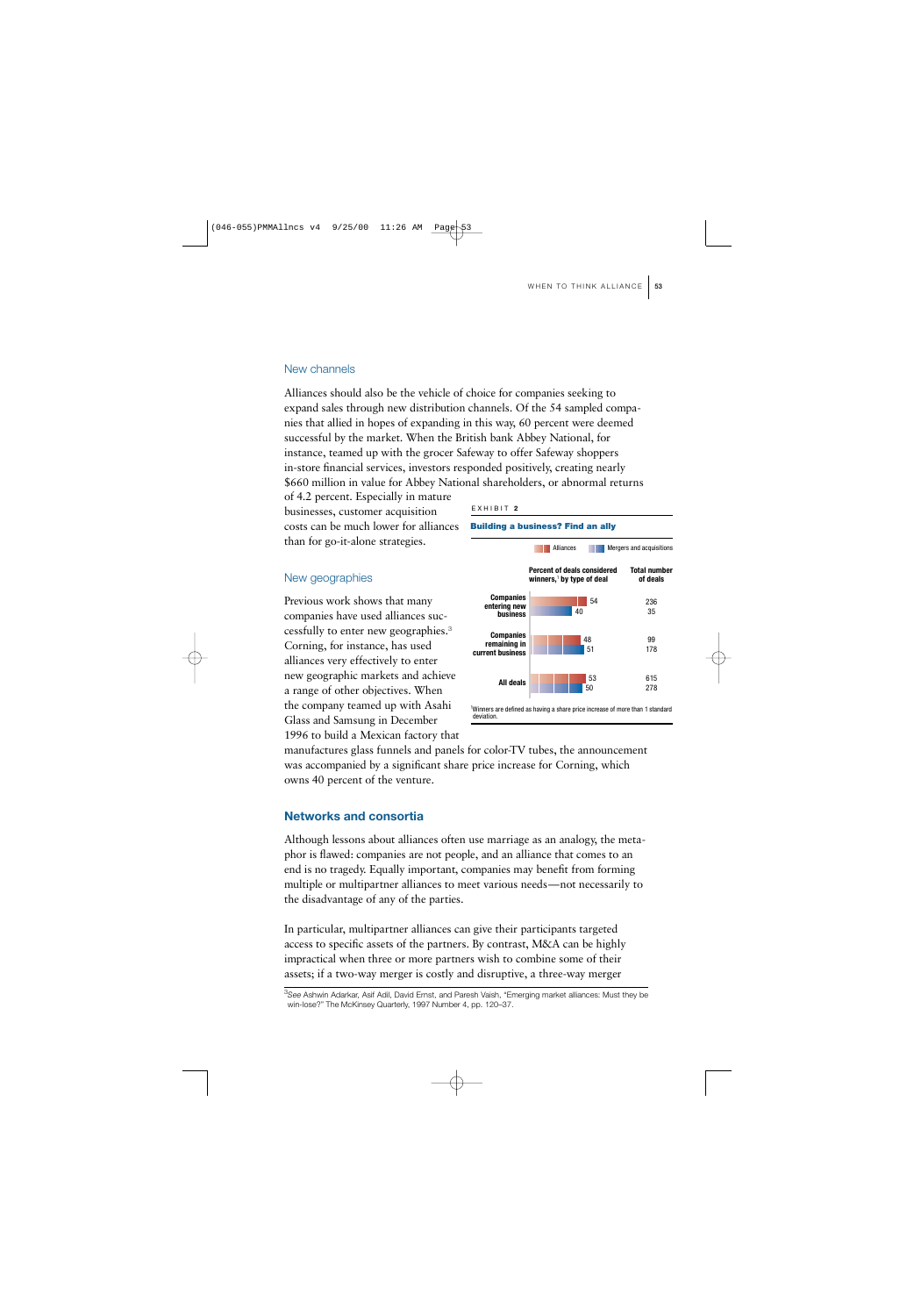#### New channels

Alliances should also be the vehicle of choice for companies seeking to expand sales through new distribution channels. Of the 54 sampled companies that allied in hopes of expanding in this way, 60 percent were deemed successful by the market. When the British bank Abbey National, for instance, teamed up with the grocer Safeway to offer Safeway shoppers in-store financial services, investors responded positively, creating nearly \$660 million in value for Abbey National shareholders, or abnormal returns

of 4.2 percent. Especially in mature businesses, customer acquisition costs can be much lower for alliances than for go-it-alone strategies.

#### New geographies

Previous work shows that many companies have used alliances successfully to enter new geographies.<sup>3</sup> Corning, for instance, has used alliances very effectively to enter new geographic markets and achieve a range of other objectives. When the company teamed up with Asahi Glass and Samsung in December 1996 to build a Mexican factory that







manufactures glass funnels and panels for color-TV tubes, the announcement was accompanied by a significant share price increase for Corning, which owns 40 percent of the venture.

#### **Networks and consortia**

Although lessons about alliances often use marriage as an analogy, the metaphor is flawed: companies are not people, and an alliance that comes to an end is no tragedy. Equally important, companies may benefit from forming multiple or multipartner alliances to meet various needs—not necessarily to the disadvantage of any of the parties.

In particular, multipartner alliances can give their participants targeted access to specific assets of the partners. By contrast, M&A can be highly impractical when three or more partners wish to combine some of their assets; if a two-way merger is costly and disruptive, a three-way merger

3 *See* Ashwin Adarkar, Asif Adil, David Ernst, and Paresh Vaish, "Emerging market alliances: Must they be win-lose?" The McKinsey Quarterly, 1997 Number 4, pp. 120–37.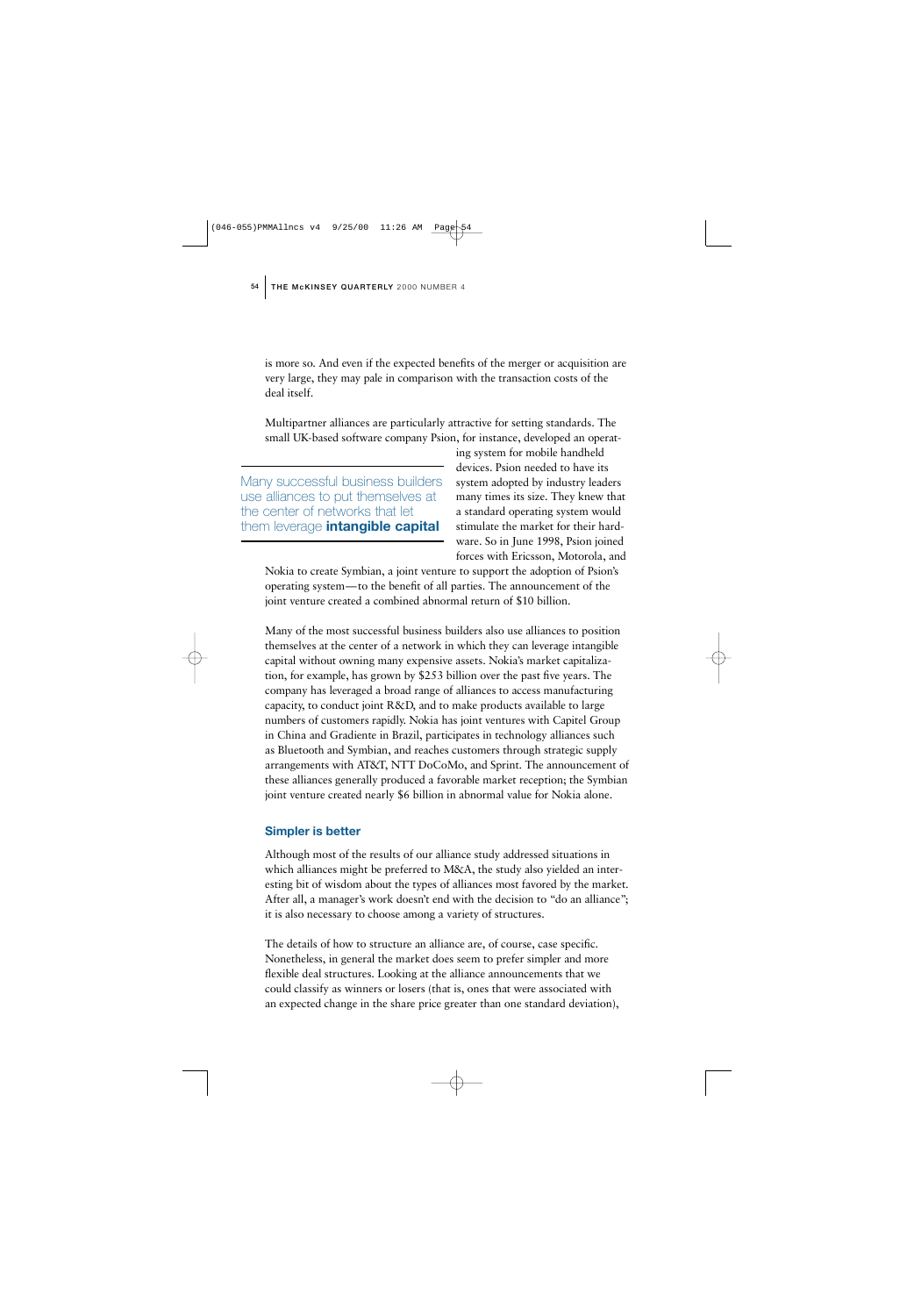is more so. And even if the expected benefits of the merger or acquisition are very large, they may pale in comparison with the transaction costs of the deal itself.

Multipartner alliances are particularly attractive for setting standards. The small UK-based software company Psion, for instance, developed an operat-

Many successful business builders use alliances to put themselves at the center of networks that let them leverage **intangible capital**

ing system for mobile handheld devices. Psion needed to have its system adopted by industry leaders many times its size. They knew that a standard operating system would stimulate the market for their hardware. So in June 1998, Psion joined forces with Ericsson, Motorola, and

Nokia to create Symbian, a joint venture to support the adoption of Psion's operating system—to the benefit of all parties. The announcement of the joint venture created a combined abnormal return of \$10 billion.

Many of the most successful business builders also use alliances to position themselves at the center of a network in which they can leverage intangible capital without owning many expensive assets. Nokia's market capitalization, for example, has grown by \$253 billion over the past five years. The company has leveraged a broad range of alliances to access manufacturing capacity, to conduct joint R&D, and to make products available to large numbers of customers rapidly. Nokia has joint ventures with Capitel Group in China and Gradiente in Brazil, participates in technology alliances such as Bluetooth and Symbian, and reaches customers through strategic supply arrangements with AT&T, NTT DoCoMo, and Sprint. The announcement of these alliances generally produced a favorable market reception; the Symbian joint venture created nearly \$6 billion in abnormal value for Nokia alone.

#### **Simpler is better**

Although most of the results of our alliance study addressed situations in which alliances might be preferred to M&A, the study also yielded an interesting bit of wisdom about the types of alliances most favored by the market. After all, a manager's work doesn't end with the decision to "do an alliance"; it is also necessary to choose among a variety of structures.

The details of how to structure an alliance are, of course, case specific. Nonetheless, in general the market does seem to prefer simpler and more flexible deal structures. Looking at the alliance announcements that we could classify as winners or losers (that is, ones that were associated with an expected change in the share price greater than one standard deviation),